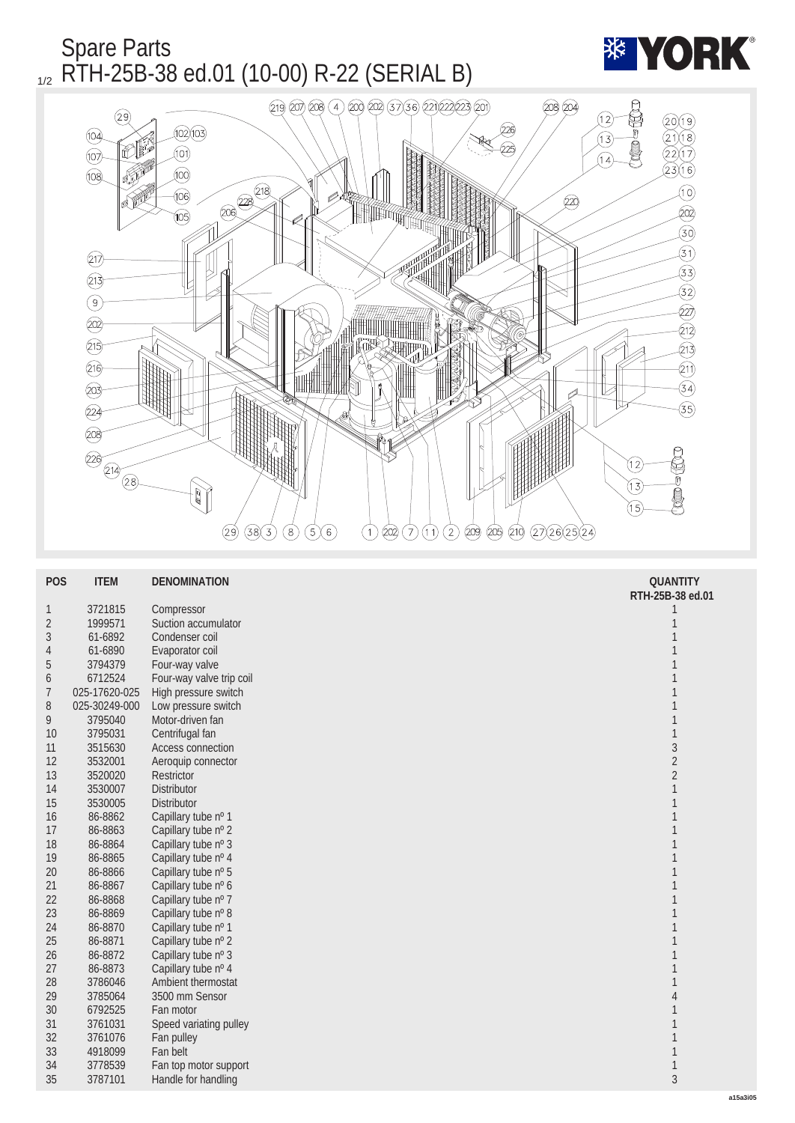

| <b>POS</b>   | <b>ITEM</b>   | <b>DENOMINATION</b>      | <b>QUANTITY</b>  |
|--------------|---------------|--------------------------|------------------|
|              |               |                          | RTH-25B-38 ed.01 |
| $\mathbf{1}$ | 3721815       | Compressor               | 1                |
| $\sqrt{2}$   | 1999571       | Suction accumulator      | 1                |
| 3            | 61-6892       | Condenser coil           |                  |
| 4            | 61-6890       | Evaporator coil          |                  |
| 5            | 3794379       | Four-way valve           |                  |
| 6            | 6712524       | Four-way valve trip coil |                  |
| 7            | 025-17620-025 | High pressure switch     | 1                |
| 8            | 025-30249-000 | Low pressure switch      |                  |
| 9            | 3795040       | Motor-driven fan         | 1                |
| 10           | 3795031       | Centrifugal fan          | 1                |
| 11           | 3515630       | Access connection        | $\sqrt{3}$       |
| 12           | 3532001       | Aeroquip connector       | $\sqrt{2}$       |
| 13           | 3520020       | <b>Restrictor</b>        | $\sqrt{2}$       |
| 14           | 3530007       | <b>Distributor</b>       | $\mathbf{1}$     |
| 15           | 3530005       | Distributor              | 1                |
| 16           | 86-8862       | Capillary tube nº 1      | 1                |
| 17           | 86-8863       | Capillary tube nº 2      | 1                |
| 18           | 86-8864       | Capillary tube nº 3      | 1                |
| 19           | 86-8865       | Capillary tube nº 4      | 1                |
| $20\,$       | 86-8866       | Capillary tube nº 5      | 1                |
| 21           | 86-8867       | Capillary tube nº 6      | 1                |
| 22           | 86-8868       | Capillary tube nº 7      |                  |
| $23\,$       | 86-8869       | Capillary tube nº 8      |                  |
| 24           | 86-8870       | Capillary tube nº 1      | 1                |
| $25\,$       | 86-8871       | Capillary tube nº 2      | 1                |
| 26           | 86-8872       | Capillary tube nº 3      | 1                |
| 27           | 86-8873       | Capillary tube nº 4      | $\mathbf{1}$     |
| 28           | 3786046       | Ambient thermostat       | 1                |
| 29           | 3785064       | 3500 mm Sensor           | $\overline{4}$   |
| 30           | 6792525       | Fan motor                | 1                |
| 31           | 3761031       | Speed variating pulley   | 1                |
| 32           | 3761076       | Fan pulley               | 1                |
| 33           | 4918099       | Fan belt                 | $\mathbf{1}$     |
| 34           | 3778539       | Fan top motor support    | $\mathbf{1}$     |
| 35           | 3787101       | Handle for handling      | $\overline{3}$   |
|              |               |                          |                  |